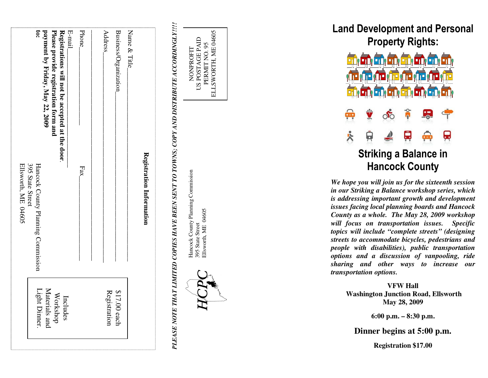| ິອ                                                                            | payment by Friday, May 22, 2009<br>Please provide registration form and<br>Registrations will not be accepted at the door. | E-mail<br>Phone | Address      | Business/Organization | Nane & Title |                          |
|-------------------------------------------------------------------------------|----------------------------------------------------------------------------------------------------------------------------|-----------------|--------------|-----------------------|--------------|--------------------------|
| Ellsworth, ME 04605<br>395 State Street<br>Hancock County Planning Commission |                                                                                                                            | Fax             |              |                       |              | Registration Information |
| Light Dinner.                                                                 | Materials and<br>Workshop<br>Includes                                                                                      |                 | Registration | $$17.00$ each         |              |                          |

*PLEASE NOTE THAT LIMITED COPIES HAVE BEEN SENT TO TOWNS; COPY AND DISTRIBUTE ACCORDINGLY!!!!* PLEASE NOTE THAT LIMITED COPIES HAVE BEEN SENT TO TOWNS; COPY AND DISTRIBUTE ACCORDINGLY!!!

Hancock County Planning Commission Hancock County Planning Commission Ellsworth, ME 04605 Ellsworth, ME 04605 395 State Street 395 State Street

NONPROFIT US POSTAGE PAID PERMIT NO. 95 ELLSWORTH, ME 04605

NONPROFIT

POSTAGE PAID PERMIT NO. 95

 $\overline{2}$ 

ELLSWORTH, ME 04605

Land Development and Personal Property Rights:



*We hope you will join us for the sixteenth session in our Striking a Balance workshop series, which is addressing important growth and development issues facing local planning boards and Hancock County as a whole. The May 28, 2009 workshop will focus on transportation issues. Specific topics will include "complete streets" (designing streets to accommodate bicycles, pedestrians and people with disabilities), public transportation options and a discussion of vanpooling, ride sharing and other ways to increase our transportation options.* 

> **VFW Hall Washington Junction Road, Ellsworth May 28, 2009**

> > **6:00 p.m. – 8:30 p.m.**

**Dinner begins at 5:00 p.m.** 

**Registration \$17.00**